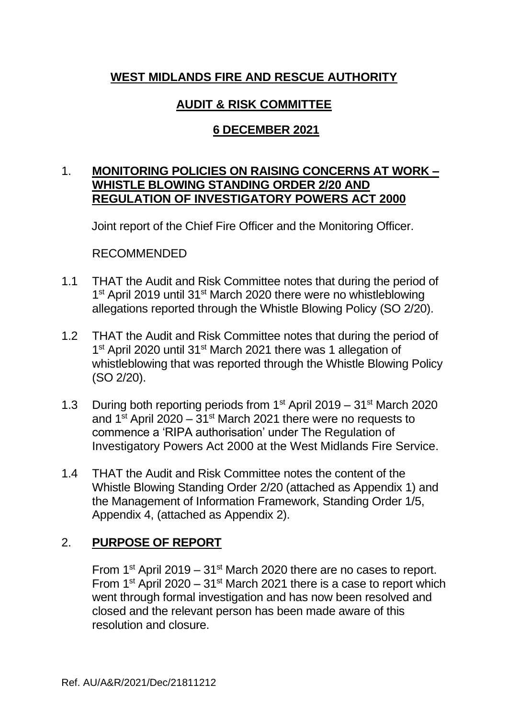# **WEST MIDLANDS FIRE AND RESCUE AUTHORITY**

# **AUDIT & RISK COMMITTEE**

# **6 DECEMBER 2021**

# 1. **MONITORING POLICIES ON RAISING CONCERNS AT WORK – WHISTLE BLOWING STANDING ORDER 2/20 AND REGULATION OF INVESTIGATORY POWERS ACT 2000**

Joint report of the Chief Fire Officer and the Monitoring Officer.

RECOMMENDED

- 1.1 THAT the Audit and Risk Committee notes that during the period of 1<sup>st</sup> April 2019 until 31<sup>st</sup> March 2020 there were no whistleblowing allegations reported through the Whistle Blowing Policy (SO 2/20).
- 1.2 THAT the Audit and Risk Committee notes that during the period of 1<sup>st</sup> April 2020 until 31<sup>st</sup> March 2021 there was 1 allegation of whistleblowing that was reported through the Whistle Blowing Policy (SO 2/20).
- 1.3 During both reporting periods from  $1<sup>st</sup>$  April 2019 31 $<sup>st</sup>$  March 2020</sup> and 1<sup>st</sup> April 2020 – 31<sup>st</sup> March 2021 there were no requests to commence a 'RIPA authorisation' under The Regulation of Investigatory Powers Act 2000 at the West Midlands Fire Service.
- 1.4 THAT the Audit and Risk Committee notes the content of the Whistle Blowing Standing Order 2/20 (attached as Appendix 1) and the Management of Information Framework, Standing Order 1/5, Appendix 4, (attached as Appendix 2).

# 2. **PURPOSE OF REPORT**

From  $1<sup>st</sup>$  April 2019 –  $31<sup>st</sup>$  March 2020 there are no cases to report. From 1st April 2020 – 31st March 2021 there is a case to report which went through formal investigation and has now been resolved and closed and the relevant person has been made aware of this resolution and closure.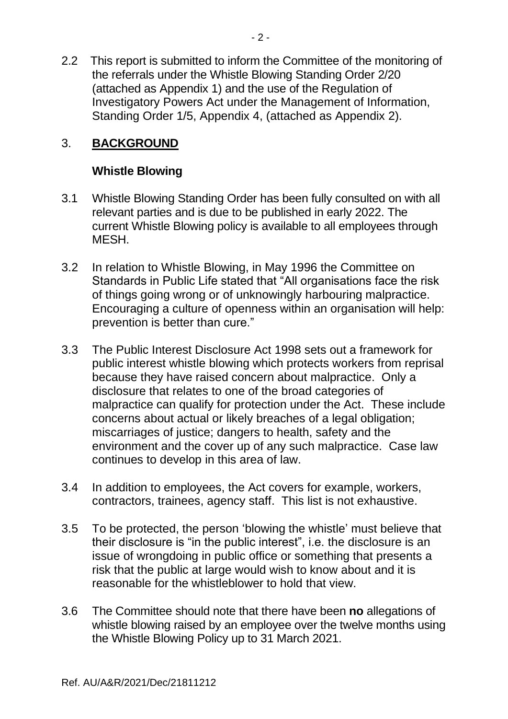2.2 This report is submitted to inform the Committee of the monitoring of the referrals under the Whistle Blowing Standing Order 2/20 (attached as Appendix 1) and the use of the Regulation of Investigatory Powers Act under the Management of Information, Standing Order 1/5, Appendix 4, (attached as Appendix 2).

# 3. **BACKGROUND**

# **Whistle Blowing**

- 3.1 Whistle Blowing Standing Order has been fully consulted on with all relevant parties and is due to be published in early 2022. The current Whistle Blowing policy is available to all employees through MESH.
- 3.2 In relation to Whistle Blowing, in May 1996 the Committee on Standards in Public Life stated that "All organisations face the risk of things going wrong or of unknowingly harbouring malpractice. Encouraging a culture of openness within an organisation will help: prevention is better than cure."
- 3.3 The Public Interest Disclosure Act 1998 sets out a framework for public interest whistle blowing which protects workers from reprisal because they have raised concern about malpractice. Only a disclosure that relates to one of the broad categories of malpractice can qualify for protection under the Act. These include concerns about actual or likely breaches of a legal obligation; miscarriages of justice; dangers to health, safety and the environment and the cover up of any such malpractice. Case law continues to develop in this area of law.
- 3.4 In addition to employees, the Act covers for example, workers, contractors, trainees, agency staff. This list is not exhaustive.
- 3.5 To be protected, the person 'blowing the whistle' must believe that their disclosure is "in the public interest", i.e. the disclosure is an issue of wrongdoing in public office or something that presents a risk that the public at large would wish to know about and it is reasonable for the whistleblower to hold that view.
- 3.6 The Committee should note that there have been **no** allegations of whistle blowing raised by an employee over the twelve months using the Whistle Blowing Policy up to 31 March 2021.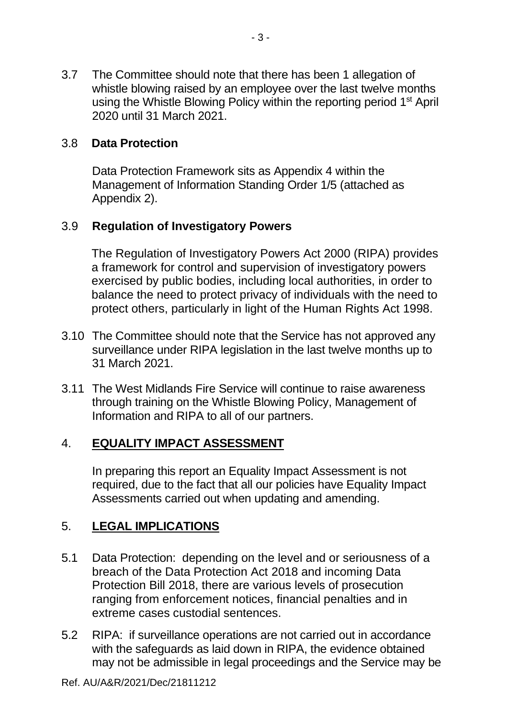3.7 The Committee should note that there has been 1 allegation of whistle blowing raised by an employee over the last twelve months using the Whistle Blowing Policy within the reporting period 1<sup>st</sup> April 2020 until 31 March 2021.

# 3.8 **Data Protection**

Data Protection Framework sits as Appendix 4 within the Management of Information Standing Order 1/5 (attached as Appendix 2).

# 3.9 **Regulation of Investigatory Powers**

The Regulation of Investigatory Powers Act 2000 (RIPA) provides a framework for control and supervision of investigatory powers exercised by public bodies, including local authorities, in order to balance the need to protect privacy of individuals with the need to protect others, particularly in light of the Human Rights Act 1998.

- 3.10 The Committee should note that the Service has not approved any surveillance under RIPA legislation in the last twelve months up to 31 March 2021.
- 3.11 The West Midlands Fire Service will continue to raise awareness through training on the Whistle Blowing Policy, Management of Information and RIPA to all of our partners.

# 4. **EQUALITY IMPACT ASSESSMENT**

In preparing this report an Equality Impact Assessment is not required, due to the fact that all our policies have Equality Impact Assessments carried out when updating and amending.

# 5. **LEGAL IMPLICATIONS**

- 5.1 Data Protection: depending on the level and or seriousness of a breach of the Data Protection Act 2018 and incoming Data Protection Bill 2018, there are various levels of prosecution ranging from enforcement notices, financial penalties and in extreme cases custodial sentences.
- 5.2 RIPA: if surveillance operations are not carried out in accordance with the safeguards as laid down in RIPA, the evidence obtained may not be admissible in legal proceedings and the Service may be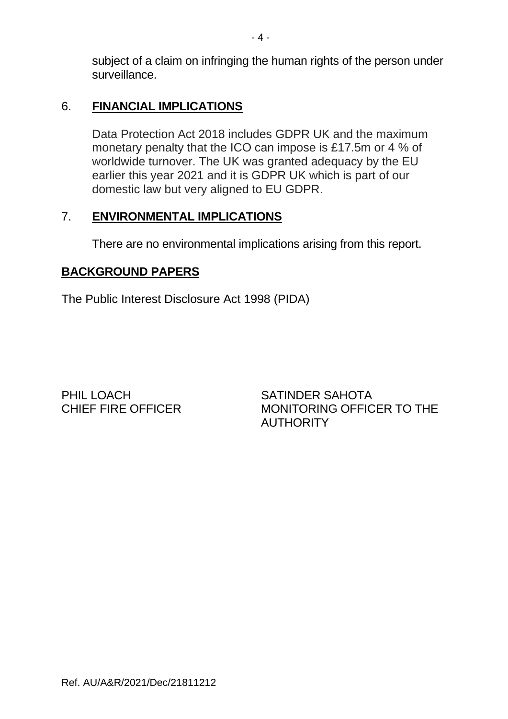subject of a claim on infringing the human rights of the person under surveillance.

# 6. **FINANCIAL IMPLICATIONS**

Data Protection Act 2018 includes GDPR UK and the maximum monetary penalty that the ICO can impose is £17.5m or 4 % of worldwide turnover. The UK was granted adequacy by the EU earlier this year 2021 and it is GDPR UK which is part of our domestic law but very aligned to EU GDPR.

# 7. **ENVIRONMENTAL IMPLICATIONS**

There are no environmental implications arising from this report.

# **BACKGROUND PAPERS**

The Public Interest Disclosure Act 1998 (PIDA)

PHIL LOACH SATINDER SAHOTA

CHIEF FIRE OFFICER MONITORING OFFICER TO THE **AUTHORITY**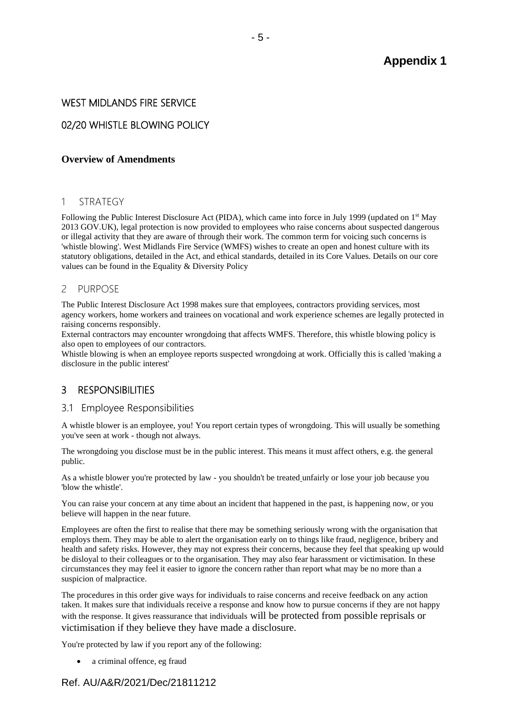# **Appendix 1**

## WEST MIDLANDS FIRE SERVICE

# 02/20 WHISTLE BLOWING POLICY

### **[Overview of Amendments](https://wmfs.sharepoint.com/:w:/s/PolicyAssuranceTeam/EYK2M8LXAwtJokdgDMTHRIUBKRsIZGw-mQ69ElBgFyy9PA?e=jMc4zV)**

#### 1 STRATEGY

Following the Public Interest Disclosure Act (PIDA), which came into force in July 1999 (updated on 1<sup>st</sup> May 2013 GOV.UK), legal protection is now provided to employees who raise concerns about suspected dangerous or illegal activity that they are aware of through their work. The common term for voicing such concerns is 'whistle blowing'. West Midlands Fire Service (WMFS) wishes to create an open and honest culture with its statutory obligations, detailed in the Act, and ethical standards, detailed in its Core Values. Details on our core values can be found in the Equality & Diversity Policy

#### 2 PURPOSE

The Public Interest Disclosure Act 1998 makes sure that employees, contractors providing services, most agency workers, home workers and trainees on vocational and work experience schemes are legally protected in raising concerns responsibly.

External contractors may encounter wrongdoing that affects WMFS. Therefore, this whistle blowing policy is also open to employees of our contractors.

Whistle blowing is when an employee reports suspected wrongdoing at work. Officially this is called 'making a disclosure in the public interest'

## 3 RESPONSIBILITIES

#### 3.1 Employee Responsibilities

A whistle blower is an employee, you! You report certain types of wrongdoing. This will usually be something you've seen at work - though not always.

The wrongdoing you disclose must be in the public interest. This means it must affect others, e.g. the general public.

As a whistle blower you're protected by law - you shouldn't be treated unfairly or lose your job because you 'blow the whistle'.

You can raise your concern at any time about an incident that happened in the past, is happening now, or you believe will happen in the near future.

Employees are often the first to realise that there may be something seriously wrong with the organisation that employs them. They may be able to alert the organisation early on to things like fraud, negligence, bribery and health and safety risks. However, they may not express their concerns, because they feel that speaking up would be disloyal to their colleagues or to the organisation. They may also fear harassment or victimisation. In these circumstances they may feel it easier to ignore the concern rather than report what may be no more than a suspicion of malpractice.

The procedures in this order give ways for individuals to raise concerns and receive feedback on any action taken. It makes sure that individuals receive a response and know how to pursue concerns if they are not happy with the response. It gives reassurance that individuals will be protected from possible reprisals or victimisation if they believe they have made a disclosure.

You're protected by law if you report any of the following:

• a criminal offence, eg fraud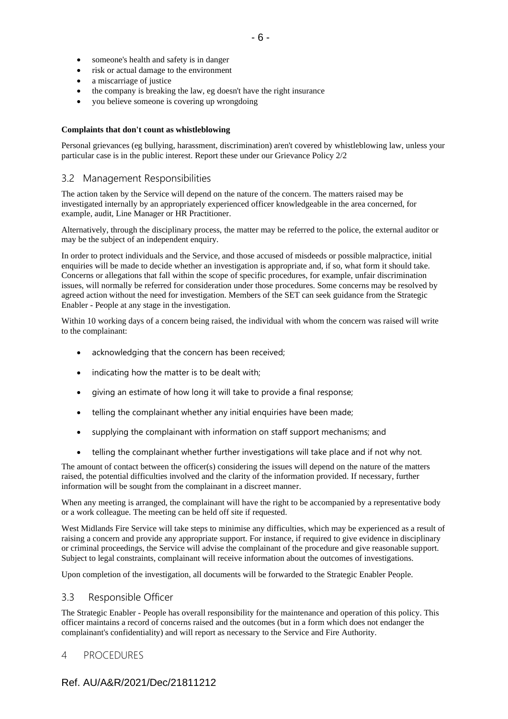- someone's health and safety is in danger
- risk or actual damage to the environment
- a miscarriage of justice
- the company is breaking the law, eg doesn't have the right insurance
- you believe someone is covering up wrongdoing

#### **Complaints that don't count as whistleblowing**

Personal grievances (eg bullying, harassment, discrimination) aren't covered by whistleblowing law, unless your particular case is in the public interest. Report these under our Grievance Policy 2/2

#### 3.2 Management Responsibilities

The action taken by the Service will depend on the nature of the concern. The matters raised may be investigated internally by an appropriately experienced officer knowledgeable in the area concerned, for example, audit, Line Manager or HR Practitioner.

Alternatively, through the disciplinary process, the matter may be referred to the police, the external auditor or may be the subject of an independent enquiry.

In order to protect individuals and the Service, and those accused of misdeeds or possible malpractice, initial enquiries will be made to decide whether an investigation is appropriate and, if so, what form it should take. Concerns or allegations that fall within the scope of specific procedures, for example, unfair discrimination issues, will normally be referred for consideration under those procedures. Some concerns may be resolved by agreed action without the need for investigation. Members of the SET can seek guidance from the Strategic Enabler - People at any stage in the investigation.

Within 10 working days of a concern being raised, the individual with whom the concern was raised will write to the complainant:

- acknowledging that the concern has been received:
- indicating how the matter is to be dealt with;
- giving an estimate of how long it will take to provide a final response;
- telling the complainant whether any initial enquiries have been made;
- supplying the complainant with information on staff support mechanisms; and
- telling the complainant whether further investigations will take place and if not why not.

The amount of contact between the officer(s) considering the issues will depend on the nature of the matters raised, the potential difficulties involved and the clarity of the information provided. If necessary, further information will be sought from the complainant in a discreet manner.

When any meeting is arranged, the complainant will have the right to be accompanied by a representative body or a work colleague. The meeting can be held off site if requested.

West Midlands Fire Service will take steps to minimise any difficulties, which may be experienced as a result of raising a concern and provide any appropriate support. For instance, if required to give evidence in disciplinary or criminal proceedings, the Service will advise the complainant of the procedure and give reasonable support. Subject to legal constraints, complainant will receive information about the outcomes of investigations.

Upon completion of the investigation, all documents will be forwarded to the Strategic Enabler People.

#### 3.3 Responsible Officer

The Strategic Enabler - People has overall responsibility for the maintenance and operation of this policy. This officer maintains a record of concerns raised and the outcomes (but in a form which does not endanger the complainant's confidentiality) and will report as necessary to the Service and Fire Authority.

## 4 PROCEDURES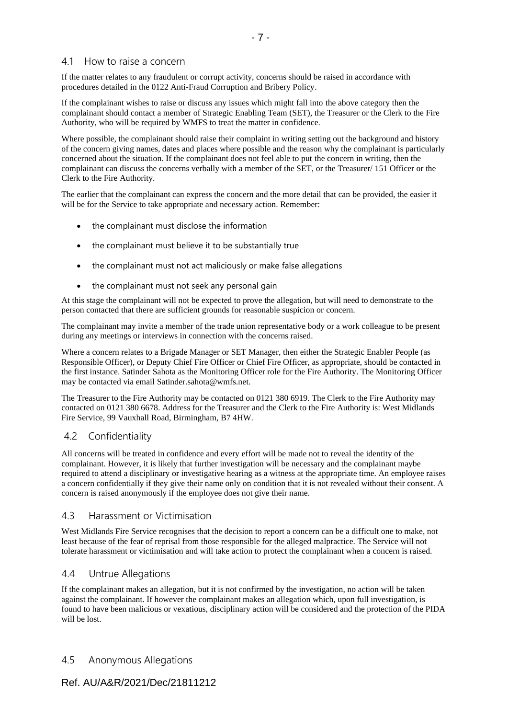## 4.1 How to raise a concern

If the matter relates to any fraudulent or corrupt activity, concerns should be raised in accordance with procedures detailed in the [0122 Anti-Fraud Corruption and Bribery Policy.](https://wmfs.sharepoint.com/sites/Mesh/WikiDocuments/0122%20Anti-Fraud%20%20Corruption%20and%20Bribery%20Policy.aspx)

If the complainant wishes to raise or discuss any issues which might fall into the above category then the complainant should contact a member of Strategic Enabling Team (SET), the Treasurer or the Clerk to the Fire Authority, who will be required by WMFS to treat the matter in confidence.

Where possible, the complainant should raise their complaint in writing setting out the background and history of the concern giving names, dates and places where possible and the reason why the complainant is particularly concerned about the situation. If the complainant does not feel able to put the concern in writing, then the complainant can discuss the concerns verbally with a member of the SET, or the Treasurer/ 151 Officer or the Clerk to the Fire Authority.

The earlier that the complainant can express the concern and the more detail that can be provided, the easier it will be for the Service to take appropriate and necessary action. Remember:

- the complainant must disclose the information
- the complainant must believe it to be substantially true
- the complainant must not act maliciously or make false allegations
- the complainant must not seek any personal gain

At this stage the complainant will not be expected to prove the allegation, but will need to demonstrate to the person contacted that there are sufficient grounds for reasonable suspicion or concern.

The complainant may invite a member of the trade union representative body or a work colleague to be present during any meetings or interviews in connection with the concerns raised.

Where a concern relates to a Brigade Manager or SET Manager, then either the Strategic Enabler People (as Responsible Officer), or Deputy Chief Fire Officer or Chief Fire Officer, as appropriate, should be contacted in the first instance. Satinder Sahota as the Monitoring Officer role for the Fire Authority. The Monitoring Officer may be contacted via email [Satinder.sahota@wmfs.net.](mailto:Satinder.sahota@wmfs.net)

The Treasurer to the Fire Authority may be contacted on 0121 380 6919. The Clerk to the Fire Authority may contacted on 0121 380 6678. Address for the Treasurer and the Clerk to the Fire Authority is: West Midlands Fire Service, 99 Vauxhall Road, Birmingham, B7 4HW.

## 4.2 Confidentiality

All concerns will be treated in confidence and every effort will be made not to reveal the identity of the complainant. However, it is likely that further investigation will be necessary and the complainant maybe required to attend a disciplinary or investigative hearing as a witness at the appropriate time. An employee raises a concern confidentially if they give their name only on condition that it is not revealed without their consent. A concern is raised anonymously if the employee does not give their name.

#### 4.3 Harassment or Victimisation

West Midlands Fire Service recognises that the decision to report a concern can be a difficult one to make, not least because of the fear of reprisal from those responsible for the alleged malpractice. The Service will not tolerate harassment or victimisation and will take action to protect the complainant when a concern is raised.

## 4.4 Untrue Allegations

If the complainant makes an allegation, but it is not confirmed by the investigation, no action will be taken against the complainant. If however the complainant makes an allegation which, upon full investigation, is found to have been malicious or vexatious, disciplinary action will be considered and the protection of the PIDA will be lost.

## 4.5 Anonymous Allegations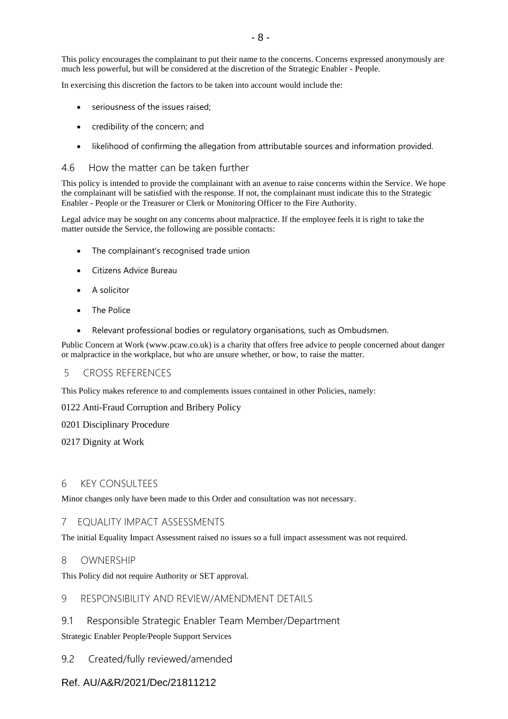This policy encourages the complainant to put their name to the concerns. Concerns expressed anonymously are much less powerful, but will be considered at the discretion of the Strategic Enabler - People.

In exercising this discretion the factors to be taken into account would include the:

- seriousness of the issues raised;
- credibility of the concern; and
- likelihood of confirming the allegation from attributable sources and information provided.

#### 4.6 How the matter can be taken further

This policy is intended to provide the complainant with an avenue to raise concerns within the Service. We hope the complainant will be satisfied with the response. If not, the complainant must indicate this to the Strategic Enabler - People or the Treasurer or Clerk or Monitoring Officer to the Fire Authority.

Legal advice may be sought on any concerns about malpractice. If the employee feels it is right to take the matter outside the Service, the following are possible contacts:

- The complainant's recognised trade union
- Citizens Advice Bureau
- A solicitor
- The Police
- Relevant professional bodies or regulatory organisations, such as Ombudsmen.

Public Concern at Work [\(www.pcaw.co.uk\)](http://www.pcaw.co.uk/) is a charity that offers free advice to people concerned about danger or malpractice in the workplace, but who are unsure whether, or how, to raise the matter.

#### 5 CROSS REFERENCES

This Policy makes reference to and complements issues contained in other Policies, namely:

[0122 Anti-Fraud Corruption and Bribery Policy](https://wmfs.sharepoint.com/sites/Mesh/WikiDocuments/0122%20Anti-Fraud%20%20Corruption%20and%20Bribery%20Policy.aspx)

[0201 Disciplinary Procedure](https://wmfs.sharepoint.com/sites/Mesh/WikiDocuments/0201%20Disciplinary%20Procedure.aspx)

[0217 Dignity at Work](https://wmfs.sharepoint.com/sites/Mesh/WikiDocuments/0217%20Dignity%20at%20Work.aspx)

### 6 KEY CONSULTEES

Minor changes only have been made to this Order and consultation was not necessary.

### 7 EQUALITY IMPACT ASSESSMENTS

The initial Equality Impact Assessment raised no issues so a full impact assessment was not required.

#### 8 OWNERSHIP

This Policy did not require Authority or SET approval.

#### 9 RESPONSIBILITY AND REVIEW/AMENDMENT DETAILS

9.1 Responsible Strategic Enabler Team Member/Department

Strategic Enabler People/People Support Services

9.2 Created/fully reviewed/amended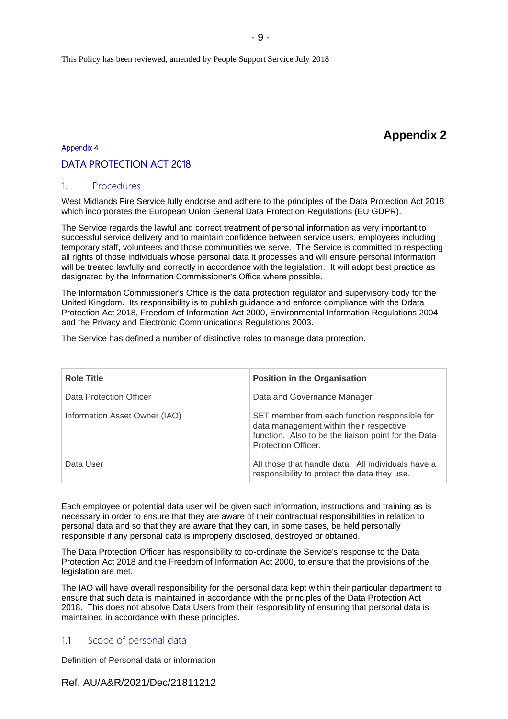This Policy has been reviewed, amended by People Support Service July 2018

# **Appendix 2**

# Appendix 4

## DATA PROTECTION ACT 2018

#### 1. Procedures

West Midlands Fire Service fully endorse and adhere to the principles of the Data Protection Act 2018 which incorporates the European Union General Data Protection Regulations (EU GDPR).

The Service regards the lawful and correct treatment of personal information as very important to successful service delivery and to maintain confidence between service users, employees including temporary staff, volunteers and those communities we serve. The Service is committed to respecting all rights of those individuals whose personal data it processes and will ensure personal information will be treated lawfully and correctly in accordance with the legislation. It will adopt best practice as designated by the Information Commissioner's Office where possible.

The Information Commissioner's Office is the data protection regulator and supervisory body for the United Kingdom. Its responsibility is to publish guidance and enforce compliance with the Ddata Protection Act 2018, Freedom of Information Act 2000, Environmental Information Regulations 2004 and the Privacy and Electronic Communications Regulations 2003.

The Service has defined a number of distinctive roles to manage data protection.

| <b>Role Title</b>             | <b>Position in the Organisation</b>                                                                                                                                    |
|-------------------------------|------------------------------------------------------------------------------------------------------------------------------------------------------------------------|
| Data Protection Officer       | Data and Governance Manager                                                                                                                                            |
| Information Asset Owner (IAO) | SET member from each function responsible for<br>data management within their respective<br>function. Also to be the liaison point for the Data<br>Protection Officer. |
| Data User                     | All those that handle data. All individuals have a<br>responsibility to protect the data they use.                                                                     |

Each employee or potential data user will be given such information, instructions and training as is necessary in order to ensure that they are aware of their contractual responsibilities in relation to personal data and so that they are aware that they can, in some cases, be held personally responsible if any personal data is improperly disclosed, destroyed or obtained.

The Data Protection Officer has responsibility to co-ordinate the Service's response to the Data Protection Act 2018 and the Freedom of Information Act 2000, to ensure that the provisions of the legislation are met.

The IAO will have overall responsibility for the personal data kept within their particular department to ensure that such data is maintained in accordance with the principles of the Data Protection Act 2018. This does not absolve Data Users from their responsibility of ensuring that personal data is maintained in accordance with these principles.

## 1.1 Scope of personal data

Definition of Personal data or information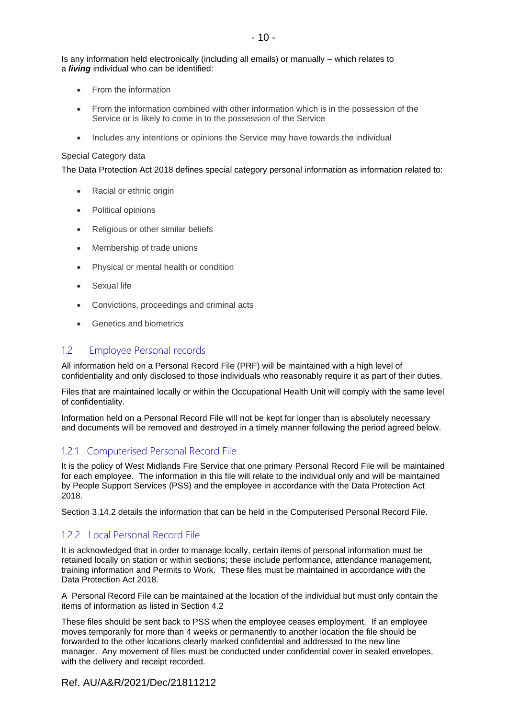Is any information held electronically (including all emails) or manually – which relates to a *living* individual who can be identified:

- From the information
- From the information combined with other information which is in the possession of the Service or is likely to come in to the possession of the Service
- Includes any intentions or opinions the Service may have towards the individual

#### Special Category data

The Data Protection Act 2018 defines special category personal information as information related to:

- Racial or ethnic origin
- Political opinions
- Religious or other similar beliefs
- Membership of trade unions
- Physical or mental health or condition
- Sexual life
- Convictions, proceedings and criminal acts
- Genetics and biometrics

### 1.2 Employee Personal records

All information held on a Personal Record File (PRF) will be maintained with a high level of confidentiality and only disclosed to those individuals who reasonably require it as part of their duties.

Files that are maintained locally or within the Occupational Health Unit will comply with the same level of confidentiality.

Information held on a Personal Record File will not be kept for longer than is absolutely necessary and documents will be removed and destroyed in a timely manner following the period agreed below.

## 1.2.1 Computerised Personal Record File

It is the policy of West Midlands Fire Service that one primary Personal Record File will be maintained for each employee. The information in this file will relate to the individual only and will be maintained by People Support Services (PSS) and the employee in accordance with the Data Protection Act 2018.

Section 3.14.2 details the information that can be held in the Computerised Personal Record File.

## 1.2.2 Local Personal Record File

It is acknowledged that in order to manage locally, certain items of personal information must be retained locally on station or within sections; these include performance, attendance management, training information and Permits to Work. These files must be maintained in accordance with the Data Protection Act 2018.

A Personal Record File can be maintained at the location of the individual but must only contain the items of information as listed in Section 4.2

These files should be sent back to PSS when the employee ceases employment. If an employee moves temporarily for more than 4 weeks or permanently to another location the file should be forwarded to the other locations clearly marked confidential and addressed to the new line manager. Any movement of files must be conducted under confidential cover in sealed envelopes, with the delivery and receipt recorded.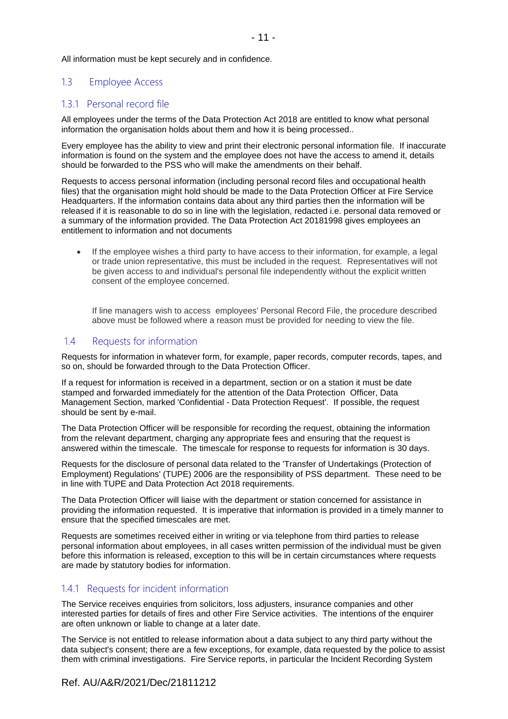All information must be kept securely and in confidence.

## 1.3 Employee Access

## 131 Personal record file

All employees under the terms of the Data Protection Act 2018 are entitled to know what personal information the organisation holds about them and how it is being processed..

Every employee has the ability to view and print their electronic personal information file. If inaccurate information is found on the system and the employee does not have the access to amend it, details should be forwarded to the PSS who will make the amendments on their behalf.

Requests to access personal information (including personal record files and occupational health files) that the organisation might hold should be made to the Data Protection Officer at Fire Service Headquarters. If the information contains data about any third parties then the information will be released if it is reasonable to do so in line with the legislation, redacted i.e. personal data removed or a summary of the information provided. The Data Protection Act 20181998 gives employees an entitlement to information and not documents

• If the employee wishes a third party to have access to their information, for example, a legal or trade union representative, this must be included in the request. Representatives will not be given access to and individual's personal file independently without the explicit written consent of the employee concerned.

If line managers wish to access employees' Personal Record File, the procedure described above must be followed where a reason must be provided for needing to view the file.

## 1.4 Requests for information

Requests for information in whatever form, for example, paper records, computer records, tapes, and so on, should be forwarded through to the Data Protection Officer.

If a request for information is received in a department, section or on a station it must be date stamped and forwarded immediately for the attention of the Data Protection Officer, Data Management Section, marked 'Confidential - Data Protection Request'. If possible, the request should be sent by e-mail.

The Data Protection Officer will be responsible for recording the request, obtaining the information from the relevant department, charging any appropriate fees and ensuring that the request is answered within the timescale. The timescale for response to requests for information is 30 days.

Requests for the disclosure of personal data related to the 'Transfer of Undertakings (Protection of Employment) Regulations' (TUPE) 2006 are the responsibility of PSS department. These need to be in line with TUPE and Data Protection Act 2018 requirements.

The Data Protection Officer will liaise with the department or station concerned for assistance in providing the information requested. It is imperative that information is provided in a timely manner to ensure that the specified timescales are met.

Requests are sometimes received either in writing or via telephone from third parties to release personal information about employees, in all cases written permission of the individual must be given before this information is released, exception to this will be in certain circumstances where requests are made by statutory bodies for information.

# 1.4.1 Requests for incident information

The Service receives enquiries from solicitors, loss adjusters, insurance companies and other interested parties for details of fires and other Fire Service activities. The intentions of the enquirer are often unknown or liable to change at a later date.

The Service is not entitled to release information about a data subject to any third party without the data subject's consent; there are a few exceptions, for example, data requested by the police to assist them with criminal investigations. Fire Service reports, in particular the Incident Recording System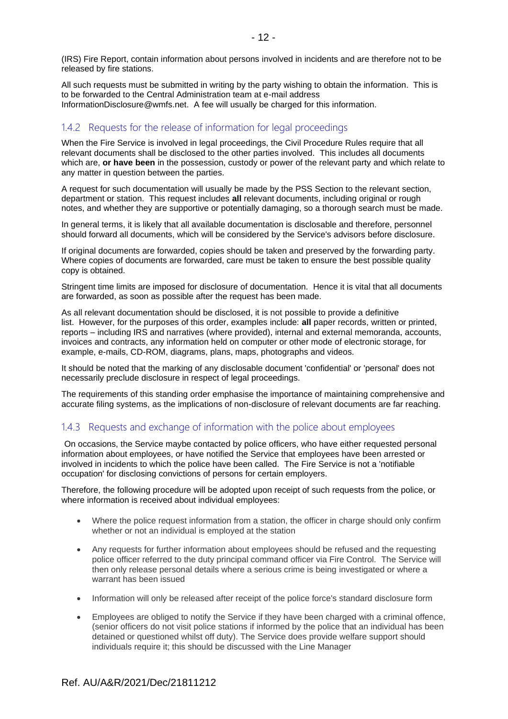(IRS) Fire Report, contain information about persons involved in incidents and are therefore not to be released by fire stations.

All such requests must be submitted in writing by the party wishing to obtain the information. This is to be forwarded to the Central Administration team at e-mail address InformationDisclosure@wmfs.net. A fee will usually be charged for this information.

# 1.4.2 Requests for the release of information for legal proceedings

When the Fire Service is involved in legal proceedings, the Civil Procedure Rules require that all relevant documents shall be disclosed to the other parties involved. This includes all documents which are, **or have been** in the possession, custody or power of the relevant party and which relate to any matter in question between the parties.

A request for such documentation will usually be made by the PSS Section to the relevant section, department or station. This request includes **all** relevant documents, including original or rough notes, and whether they are supportive or potentially damaging, so a thorough search must be made.

In general terms, it is likely that all available documentation is disclosable and therefore, personnel should forward all documents, which will be considered by the Service's advisors before disclosure.

If original documents are forwarded, copies should be taken and preserved by the forwarding party. Where copies of documents are forwarded, care must be taken to ensure the best possible quality copy is obtained.

Stringent time limits are imposed for disclosure of documentation. Hence it is vital that all documents are forwarded, as soon as possible after the request has been made.

As all relevant documentation should be disclosed, it is not possible to provide a definitive list. However, for the purposes of this order, examples include: **all** paper records, written or printed, reports – including IRS and narratives (where provided), internal and external memoranda, accounts, invoices and contracts, any information held on computer or other mode of electronic storage, for example, e-mails, CD-ROM, diagrams, plans, maps, photographs and videos.

It should be noted that the marking of any disclosable document 'confidential' or 'personal' does not necessarily preclude disclosure in respect of legal proceedings.

The requirements of this standing order emphasise the importance of maintaining comprehensive and accurate filing systems, as the implications of non-disclosure of relevant documents are far reaching.

## 1.4.3 Requests and exchange of information with the police about employees

On occasions, the Service maybe contacted by police officers, who have either requested personal information about employees, or have notified the Service that employees have been arrested or involved in incidents to which the police have been called. The Fire Service is not a 'notifiable occupation' for disclosing convictions of persons for certain employers.

Therefore, the following procedure will be adopted upon receipt of such requests from the police, or where information is received about individual employees:

- Where the police request information from a station, the officer in charge should only confirm whether or not an individual is employed at the station
- Any requests for further information about employees should be refused and the requesting police officer referred to the duty principal command officer via Fire Control. The Service will then only release personal details where a serious crime is being investigated or where a warrant has been issued
- Information will only be released after receipt of the police force's standard disclosure form
- Employees are obliged to notify the Service if they have been charged with a criminal offence, (senior officers do not visit police stations if informed by the police that an individual has been detained or questioned whilst off duty). The Service does provide welfare support should individuals require it; this should be discussed with the Line Manager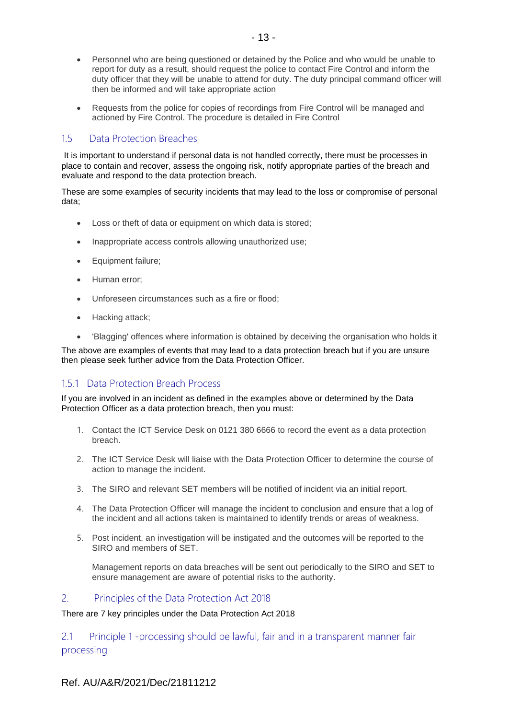- Personnel who are being questioned or detained by the Police and who would be unable to report for duty as a result, should request the police to contact Fire Control and inform the duty officer that they will be unable to attend for duty. The duty principal command officer will then be informed and will take appropriate action
- Requests from the police for copies of recordings from Fire Control will be managed and actioned by Fire Control. The procedure is detailed in Fire Control

## 1.5 Data Protection Breaches

It is important to understand if personal data is not handled correctly, there must be processes in place to contain and recover, assess the ongoing risk, notify appropriate parties of the breach and evaluate and respond to the data protection breach.

These are some examples of security incidents that may lead to the loss or compromise of personal data;

- Loss or theft of data or equipment on which data is stored;
- Inappropriate access controls allowing unauthorized use;
- Equipment failure;
- Human error;
- Unforeseen circumstances such as a fire or flood;
- Hacking attack;
- 'Blagging' offences where information is obtained by deceiving the organisation who holds it

The above are examples of events that may lead to a data protection breach but if you are unsure then please seek further advice from the Data Protection Officer.

# 151 Data Protection Breach Process

If you are involved in an incident as defined in the examples above or determined by the Data Protection Officer as a data protection breach, then you must:

- 1. Contact the ICT Service Desk on 0121 380 6666 to record the event as a data protection breach.
- 2. The ICT Service Desk will liaise with the Data Protection Officer to determine the course of action to manage the incident.
- 3. The SIRO and relevant SET members will be notified of incident via an initial report.
- 4. The Data Protection Officer will manage the incident to conclusion and ensure that a log of the incident and all actions taken is maintained to identify trends or areas of weakness.
- 5. Post incident, an investigation will be instigated and the outcomes will be reported to the SIRO and members of SET.

Management reports on data breaches will be sent out periodically to the SIRO and SET to ensure management are aware of potential risks to the authority.

#### 2. Principles of the Data Protection Act 2018

There are 7 key principles under the Data Protection Act 2018

2.1 Principle 1 -processing should be lawful, fair and in a transparent manner fair processing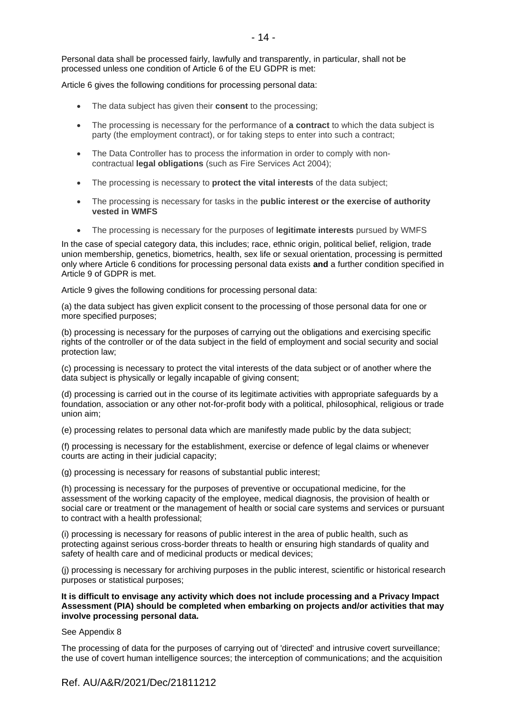Personal data shall be processed fairly, lawfully and transparently, in particular, shall not be processed unless one condition of Article 6 of the EU GDPR is met:

Article 6 gives the following conditions for processing personal data:

- The data subject has given their **consent** to the processing;
- The processing is necessary for the performance of **a contract** to which the data subject is party (the employment contract), or for taking steps to enter into such a contract;
- The Data Controller has to process the information in order to comply with noncontractual **legal obligations** (such as Fire Services Act 2004);
- The processing is necessary to **protect the vital interests** of the data subject;
- The processing is necessary for tasks in the **public interest or the exercise of authority vested in WMFS**
- The processing is necessary for the purposes of **legitimate interests** pursued by WMFS

In the case of special category data, this includes; race, ethnic origin, political belief, religion, trade union membership, genetics, biometrics, health, sex life or sexual orientation, processing is permitted only where Article 6 conditions for processing personal data exists **and** a further condition specified in Article 9 of GDPR is met.

Article 9 gives the following conditions for processing personal data:

(a) the data subject has given explicit consent to the processing of those personal data for one or more specified purposes;

(b) processing is necessary for the purposes of carrying out the obligations and exercising specific rights of the controller or of the data subject in the field of employment and social security and social protection law;

(c) processing is necessary to protect the vital interests of the data subject or of another where the data subject is physically or legally incapable of giving consent;

(d) processing is carried out in the course of its legitimate activities with appropriate safeguards by a foundation, association or any other not-for-profit body with a political, philosophical, religious or trade union aim;

(e) processing relates to personal data which are manifestly made public by the data subject;

(f) processing is necessary for the establishment, exercise or defence of legal claims or whenever courts are acting in their judicial capacity;

(g) processing is necessary for reasons of substantial public interest;

(h) processing is necessary for the purposes of preventive or occupational medicine, for the assessment of the working capacity of the employee, medical diagnosis, the provision of health or social care or treatment or the management of health or social care systems and services or pursuant to contract with a health professional;

(i) processing is necessary for reasons of public interest in the area of public health, such as protecting against serious cross-border threats to health or ensuring high standards of quality and safety of health care and of medicinal products or medical devices;

(j) processing is necessary for archiving purposes in the public interest, scientific or historical research purposes or statistical purposes;

**It is difficult to envisage any activity which does not include processing and a Privacy Impact Assessment (PIA) should be completed when embarking on projects and/or activities that may involve processing personal data.**

See Appendix 8

The processing of data for the purposes of carrying out of 'directed' and intrusive covert surveillance; the use of covert human intelligence sources; the interception of communications; and the acquisition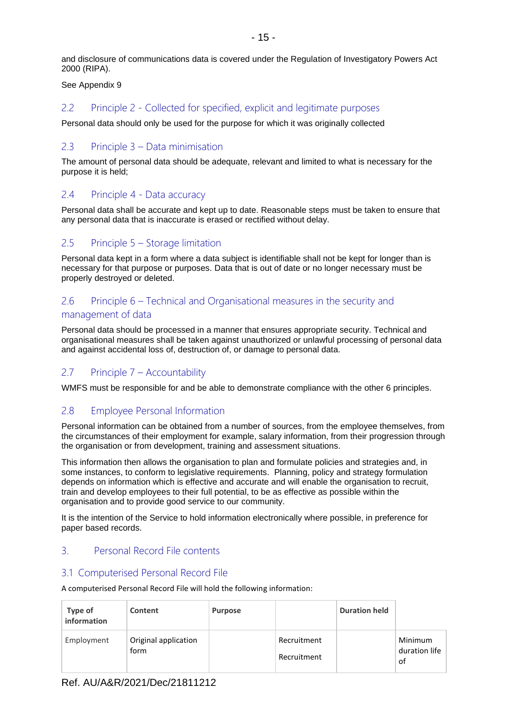and disclosure of communications data is covered under the Regulation of Investigatory Powers Act 2000 (RIPA).

See Appendix 9

## 2.2 Principle 2 - Collected for specified, explicit and legitimate purposes

Personal data should only be used for the purpose for which it was originally collected

## 2.3 Principle 3 – Data minimisation

The amount of personal data should be adequate, relevant and limited to what is necessary for the purpose it is held;

### 2.4 Principle 4 - Data accuracy

Personal data shall be accurate and kept up to date. Reasonable steps must be taken to ensure that any personal data that is inaccurate is erased or rectified without delay.

## 2.5 Principle 5 – Storage limitation

Personal data kept in a form where a data subject is identifiable shall not be kept for longer than is necessary for that purpose or purposes. Data that is out of date or no longer necessary must be properly destroyed or deleted.

# 2.6 Principle 6 – Technical and Organisational measures in the security and management of data

Personal data should be processed in a manner that ensures appropriate security. Technical and organisational measures shall be taken against unauthorized or unlawful processing of personal data and against accidental loss of, destruction of, or damage to personal data.

## 2.7 Principle 7 – Accountability

WMFS must be responsible for and be able to demonstrate compliance with the other 6 principles.

## 2.8 Employee Personal Information

Personal information can be obtained from a number of sources, from the employee themselves, from the circumstances of their employment for example, salary information, from their progression through the organisation or from development, training and assessment situations.

This information then allows the organisation to plan and formulate policies and strategies and, in some instances, to conform to legislative requirements. Planning, policy and strategy formulation depends on information which is effective and accurate and will enable the organisation to recruit, train and develop employees to their full potential, to be as effective as possible within the organisation and to provide good service to our community.

It is the intention of the Service to hold information electronically where possible, in preference for paper based records.

## 3. Personal Record File contents

#### 3.1 Computerised Personal Record File

A computerised Personal Record File will hold the following information:

| Type of<br>information | Content                      | <b>Purpose</b> |                            | <b>Duration held</b> |                                |
|------------------------|------------------------------|----------------|----------------------------|----------------------|--------------------------------|
| Employment             | Original application<br>form |                | Recruitment<br>Recruitment |                      | Minimum<br>duration life<br>of |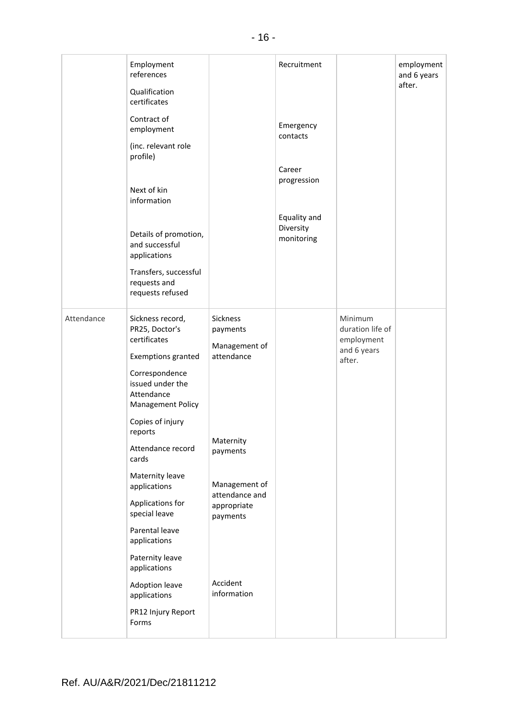|            | Employment<br>references<br>Qualification<br>certificates<br>Contract of<br>employment<br>(inc. relevant role<br>profile)<br>Next of kin<br>information<br>Details of promotion,<br>and successful<br>applications<br>Transfers, successful<br>requests and<br>requests refused                                                                                                                                                                   |                                                                                                                                                                       | Recruitment<br>Emergency<br>contacts<br>Career<br>progression<br>Equality and<br>Diversity<br>monitoring |                                                                    | employment<br>and 6 years<br>after. |
|------------|---------------------------------------------------------------------------------------------------------------------------------------------------------------------------------------------------------------------------------------------------------------------------------------------------------------------------------------------------------------------------------------------------------------------------------------------------|-----------------------------------------------------------------------------------------------------------------------------------------------------------------------|----------------------------------------------------------------------------------------------------------|--------------------------------------------------------------------|-------------------------------------|
| Attendance | Sickness record,<br>PR25, Doctor's<br>certificates<br><b>Exemptions granted</b><br>Correspondence<br>issued under the<br>Attendance<br><b>Management Policy</b><br>Copies of injury<br>reports<br>Attendance record<br>cards<br>Maternity leave<br>applications<br>Applications for<br>special leave<br>Parental leave<br>applications<br>Paternity leave<br>applications<br><b>Adoption leave</b><br>applications<br>PR12 Injury Report<br>Forms | Sickness<br>payments<br>Management of<br>attendance<br>Maternity<br>payments<br>Management of<br>attendance and<br>appropriate<br>payments<br>Accident<br>information |                                                                                                          | Minimum<br>duration life of<br>employment<br>and 6 years<br>after. |                                     |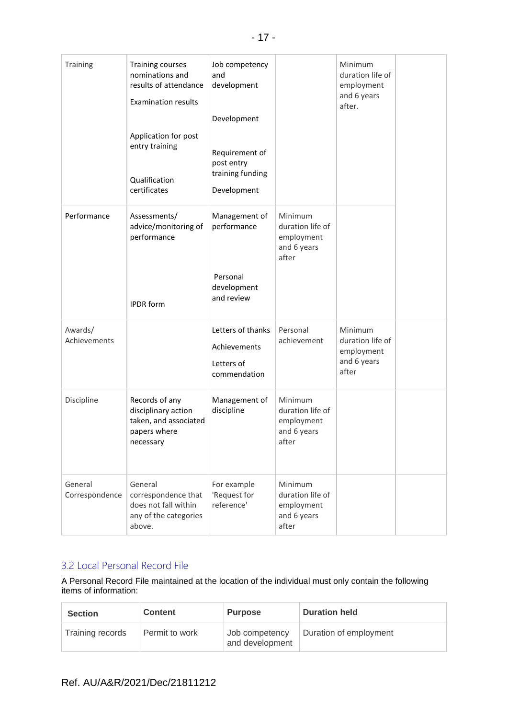| Training                  | Training courses<br>nominations and<br>results of attendance<br><b>Examination results</b><br>Application for post<br>entry training<br>Qualification<br>certificates | Job competency<br>and<br>development<br>Development<br>Requirement of<br>post entry<br>training funding<br>Development |                                                                   | Minimum<br>duration life of<br>employment<br>and 6 years<br>after. |  |
|---------------------------|-----------------------------------------------------------------------------------------------------------------------------------------------------------------------|------------------------------------------------------------------------------------------------------------------------|-------------------------------------------------------------------|--------------------------------------------------------------------|--|
| Performance               | Assessments/<br>advice/monitoring of<br>performance<br><b>IPDR</b> form                                                                                               | Management of<br>performance<br>Personal<br>development<br>and review                                                  | Minimum<br>duration life of<br>employment<br>and 6 years<br>after |                                                                    |  |
| Awards/<br>Achievements   |                                                                                                                                                                       | Letters of thanks<br>Achievements<br>Letters of<br>commendation                                                        | Personal<br>achievement                                           | Minimum<br>duration life of<br>employment<br>and 6 years<br>after  |  |
| Discipline                | Records of any<br>disciplinary action<br>taken, and associated<br>papers where<br>necessary                                                                           | Management of<br>discipline                                                                                            | Minimum<br>duration life of<br>employment<br>and 6 years<br>after |                                                                    |  |
| General<br>Correspondence | General<br>correspondence that<br>does not fall within<br>any of the categories<br>above.                                                                             | For example<br>'Request for<br>reference'                                                                              | Minimum<br>duration life of<br>employment<br>and 6 years<br>after |                                                                    |  |

# 3.2 Local Personal Record File

A Personal Record File maintained at the location of the individual must only contain the following items of information:

| <b>Section</b>   | <b>Content</b> | <b>Purpose</b>                    | <b>Duration held</b>   |
|------------------|----------------|-----------------------------------|------------------------|
| Training records | Permit to work | Job competency<br>and development | Duration of employment |